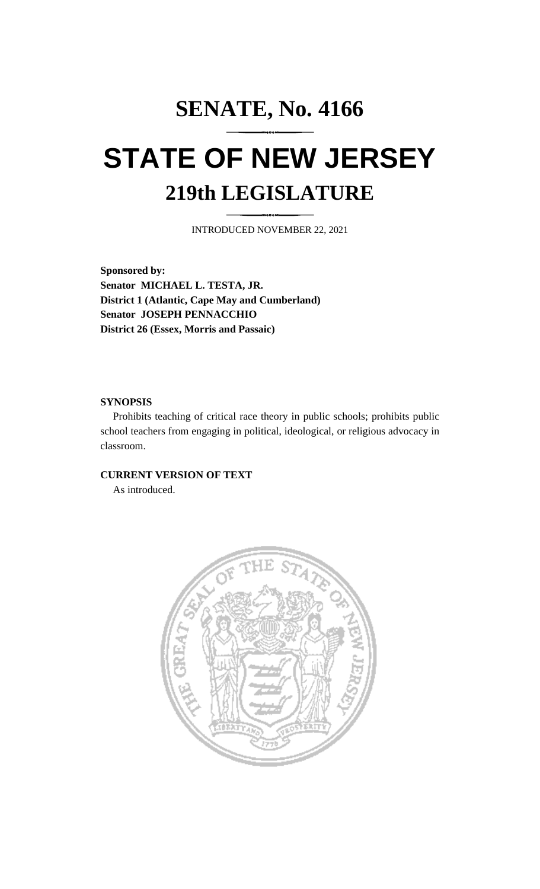# **SENATE, No. 4166 STATE OF NEW JERSEY 219th LEGISLATURE**

INTRODUCED NOVEMBER 22, 2021

**Sponsored by: Senator MICHAEL L. TESTA, JR. District 1 (Atlantic, Cape May and Cumberland) Senator JOSEPH PENNACCHIO District 26 (Essex, Morris and Passaic)**

#### **SYNOPSIS**

Prohibits teaching of critical race theory in public schools; prohibits public school teachers from engaging in political, ideological, or religious advocacy in classroom.

### **CURRENT VERSION OF TEXT**

As introduced.

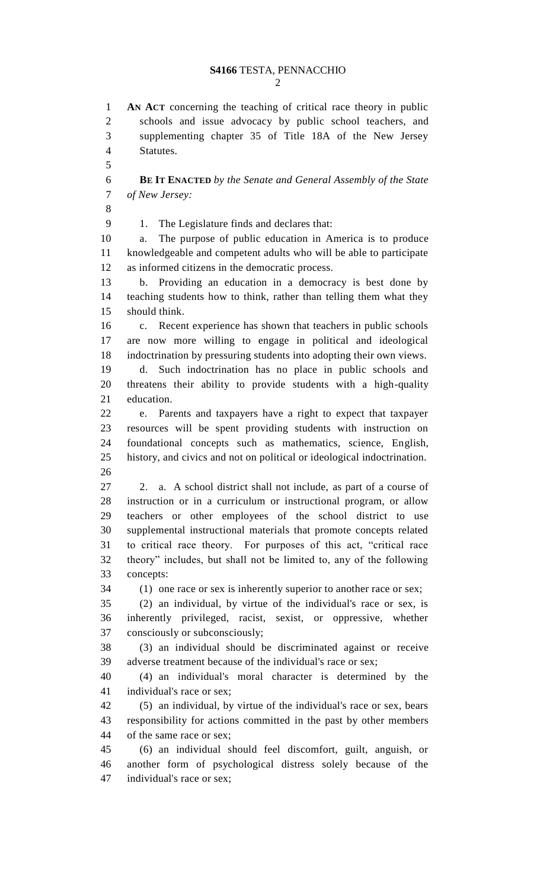**AN ACT** concerning the teaching of critical race theory in public schools and issue advocacy by public school teachers, and supplementing chapter 35 of Title 18A of the New Jersey Statutes. **BE IT ENACTED** *by the Senate and General Assembly of the State of New Jersey:* 

1. The Legislature finds and declares that:

 a. The purpose of public education in America is to produce knowledgeable and competent adults who will be able to participate as informed citizens in the democratic process.

 b. Providing an education in a democracy is best done by teaching students how to think, rather than telling them what they should think.

 c. Recent experience has shown that teachers in public schools are now more willing to engage in political and ideological indoctrination by pressuring students into adopting their own views. d. Such indoctrination has no place in public schools and threatens their ability to provide students with a high-quality education.

 e. Parents and taxpayers have a right to expect that taxpayer resources will be spent providing students with instruction on foundational concepts such as mathematics, science, English, history, and civics and not on political or ideological indoctrination. 

 2. a. A school district shall not include, as part of a course of instruction or in a curriculum or instructional program, or allow teachers or other employees of the school district to use supplemental instructional materials that promote concepts related to critical race theory. For purposes of this act, "critical race theory" includes, but shall not be limited to, any of the following concepts:

(1) one race or sex is inherently superior to another race or sex;

 (2) an individual, by virtue of the individual's race or sex, is inherently privileged, racist, sexist, or oppressive, whether consciously or subconsciously;

 (3) an individual should be discriminated against or receive adverse treatment because of the individual's race or sex;

 (4) an individual's moral character is determined by the individual's race or sex;

 (5) an individual, by virtue of the individual's race or sex, bears responsibility for actions committed in the past by other members of the same race or sex;

 (6) an individual should feel discomfort, guilt, anguish, or another form of psychological distress solely because of the individual's race or sex;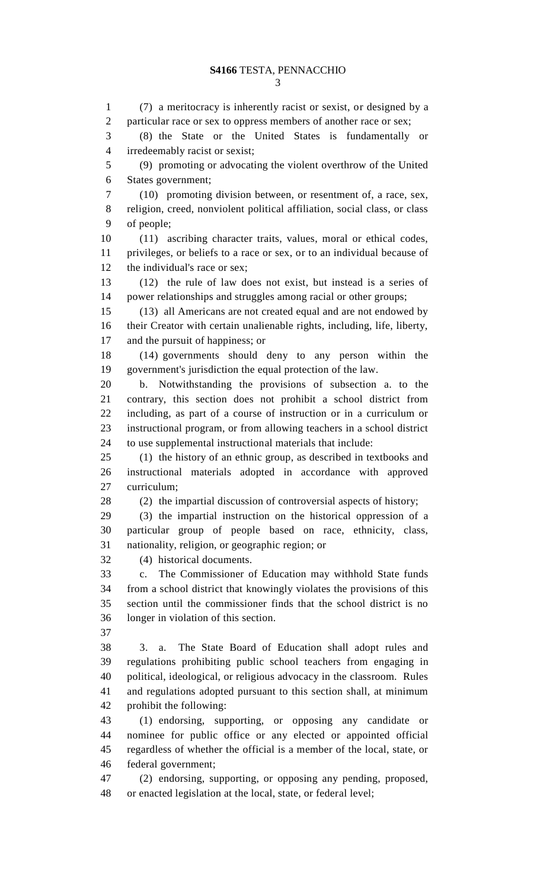(7) a meritocracy is inherently racist or sexist, or designed by a particular race or sex to oppress members of another race or sex; (8) the State or the United States is fundamentally or irredeemably racist or sexist; (9) promoting or advocating the violent overthrow of the United States government; (10) promoting division between, or resentment of, a race, sex, religion, creed, nonviolent political affiliation, social class, or class of people; (11) ascribing character traits, values, moral or ethical codes, privileges, or beliefs to a race or sex, or to an individual because of the individual's race or sex; (12) the rule of law does not exist, but instead is a series of power relationships and struggles among racial or other groups; (13) all Americans are not created equal and are not endowed by their Creator with certain unalienable rights, including, life, liberty, and the pursuit of happiness; or (14) governments should deny to any person within the government's jurisdiction the equal protection of the law. b. Notwithstanding the provisions of subsection a. to the contrary, this section does not prohibit a school district from including, as part of a course of instruction or in a curriculum or instructional program, or from allowing teachers in a school district to use supplemental instructional materials that include: (1) the history of an ethnic group, as described in textbooks and instructional materials adopted in accordance with approved curriculum; (2) the impartial discussion of controversial aspects of history; (3) the impartial instruction on the historical oppression of a particular group of people based on race, ethnicity, class, nationality, religion, or geographic region; or (4) historical documents. c. The Commissioner of Education may withhold State funds from a school district that knowingly violates the provisions of this section until the commissioner finds that the school district is no longer in violation of this section. 3. a. The State Board of Education shall adopt rules and regulations prohibiting public school teachers from engaging in political, ideological, or religious advocacy in the classroom. Rules and regulations adopted pursuant to this section shall, at minimum prohibit the following: (1) endorsing, supporting, or opposing any candidate or nominee for public office or any elected or appointed official regardless of whether the official is a member of the local, state, or federal government; (2) endorsing, supporting, or opposing any pending, proposed, or enacted legislation at the local, state, or federal level;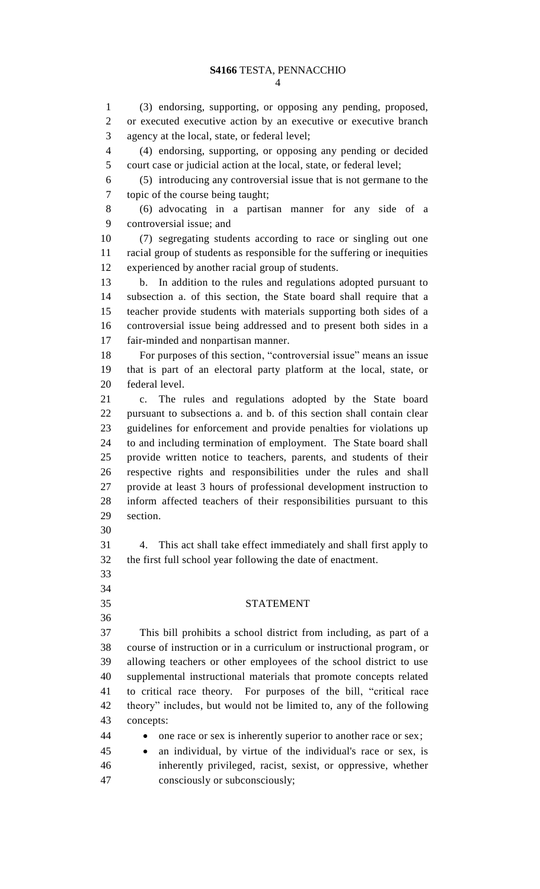#### **S4166** TESTA, PENNACCHIO

 (3) endorsing, supporting, or opposing any pending, proposed, or executed executive action by an executive or executive branch agency at the local, state, or federal level;

 (4) endorsing, supporting, or opposing any pending or decided court case or judicial action at the local, state, or federal level;

 (5) introducing any controversial issue that is not germane to the topic of the course being taught;

 (6) advocating in a partisan manner for any side of a controversial issue; and

 (7) segregating students according to race or singling out one racial group of students as responsible for the suffering or inequities experienced by another racial group of students.

 b. In addition to the rules and regulations adopted pursuant to subsection a. of this section, the State board shall require that a teacher provide students with materials supporting both sides of a controversial issue being addressed and to present both sides in a fair-minded and nonpartisan manner.

 For purposes of this section, "controversial issue" means an issue that is part of an electoral party platform at the local, state, or federal level.

 c. The rules and regulations adopted by the State board pursuant to subsections a. and b. of this section shall contain clear guidelines for enforcement and provide penalties for violations up to and including termination of employment. The State board shall provide written notice to teachers, parents, and students of their respective rights and responsibilities under the rules and shall provide at least 3 hours of professional development instruction to inform affected teachers of their responsibilities pursuant to this section.

 

 4. This act shall take effect immediately and shall first apply to the first full school year following the date of enactment.

#### STATEMENT

 This bill prohibits a school district from including, as part of a course of instruction or in a curriculum or instructional program, or allowing teachers or other employees of the school district to use supplemental instructional materials that promote concepts related to critical race theory. For purposes of the bill, "critical race theory" includes, but would not be limited to, any of the following concepts:

- **•** one race or sex is inherently superior to another race or sex;
- an individual, by virtue of the individual's race or sex, is inherently privileged, racist, sexist, or oppressive, whether consciously or subconsciously;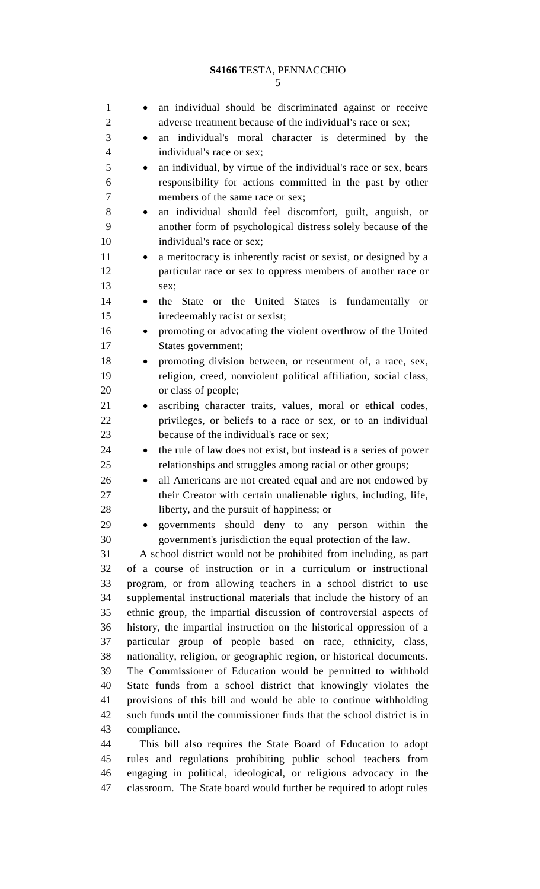#### **S4166** TESTA, PENNACCHIO

| $\mathbf{1}$   |                                                                                       | an individual should be discriminated against or receive                                                                       |
|----------------|---------------------------------------------------------------------------------------|--------------------------------------------------------------------------------------------------------------------------------|
| 2              |                                                                                       |                                                                                                                                |
| 3              |                                                                                       | adverse treatment because of the individual's race or sex;                                                                     |
| $\overline{4}$ | $\bullet$                                                                             | an individual's moral character is determined by the                                                                           |
| 5              |                                                                                       | individual's race or sex;                                                                                                      |
|                | $\bullet$                                                                             | an individual, by virtue of the individual's race or sex, bears                                                                |
| 6              |                                                                                       | responsibility for actions committed in the past by other                                                                      |
| 7              |                                                                                       | members of the same race or sex;                                                                                               |
| 8              | $\bullet$                                                                             | an individual should feel discomfort, guilt, anguish, or                                                                       |
| 9<br>10        |                                                                                       | another form of psychological distress solely because of the                                                                   |
| 11             |                                                                                       | individual's race or sex;                                                                                                      |
| 12             | $\bullet$                                                                             | a meritocracy is inherently racist or sexist, or designed by a                                                                 |
| 13             |                                                                                       | particular race or sex to oppress members of another race or<br>sex;                                                           |
| 14             |                                                                                       | or the United States is fundamentally<br>the State                                                                             |
| 15             |                                                                                       | <sub>or</sub><br>irredeemably racist or sexist;                                                                                |
| 16             | $\bullet$                                                                             | promoting or advocating the violent overthrow of the United                                                                    |
| 17             |                                                                                       | States government;                                                                                                             |
| 18             | $\bullet$                                                                             | promoting division between, or resentment of, a race, sex,                                                                     |
| 19             |                                                                                       | religion, creed, nonviolent political affiliation, social class,                                                               |
| 20             |                                                                                       | or class of people;                                                                                                            |
| 21             |                                                                                       | ascribing character traits, values, moral or ethical codes,                                                                    |
| 22             |                                                                                       | privileges, or beliefs to a race or sex, or to an individual                                                                   |
| 23             |                                                                                       | because of the individual's race or sex;                                                                                       |
| 24             | $\bullet$                                                                             | the rule of law does not exist, but instead is a series of power                                                               |
| 25             |                                                                                       | relationships and struggles among racial or other groups;                                                                      |
| 26             |                                                                                       | all Americans are not created equal and are not endowed by                                                                     |
| 27             |                                                                                       | their Creator with certain unalienable rights, including, life,                                                                |
| 28             |                                                                                       | liberty, and the pursuit of happiness; or                                                                                      |
| 29             | $\bullet$                                                                             | governments should deny to any person within the                                                                               |
| 30             |                                                                                       | government's jurisdiction the equal protection of the law.                                                                     |
| 31             |                                                                                       | A school district would not be prohibited from including, as part                                                              |
| 32             |                                                                                       | of a course of instruction or in a curriculum or instructional                                                                 |
| 33             |                                                                                       | program, or from allowing teachers in a school district to use                                                                 |
| 34             |                                                                                       | supplemental instructional materials that include the history of an                                                            |
| 35             |                                                                                       | ethnic group, the impartial discussion of controversial aspects of                                                             |
| 36             |                                                                                       | history, the impartial instruction on the historical oppression of a                                                           |
| 37             |                                                                                       | particular group of people based on race, ethnicity, class,                                                                    |
| 38             | nationality, religion, or geographic region, or historical documents.                 |                                                                                                                                |
| 39             | The Commissioner of Education would be permitted to withhold                          |                                                                                                                                |
| 40             | State funds from a school district that knowingly violates the                        |                                                                                                                                |
| 41             | provisions of this bill and would be able to continue withholding                     |                                                                                                                                |
| 42<br>43       | such funds until the commissioner finds that the school district is in<br>compliance. |                                                                                                                                |
| 44             |                                                                                       |                                                                                                                                |
| 45             |                                                                                       | This bill also requires the State Board of Education to adopt<br>rules and regulations prohibiting public school teachers from |
| 46             |                                                                                       | engaging in political, ideological, or religious advocacy in the                                                               |
| 47             |                                                                                       | classroom. The State board would further be required to adopt rules                                                            |
|                |                                                                                       |                                                                                                                                |